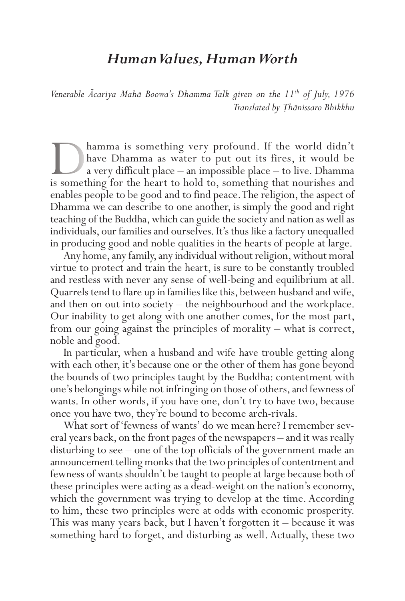## *Human Values, Human Worth*

*Venerable Ācariya Mahā Boowa's Dhamma Talk given on the 11th of July, 1976 Translated by Ṭhānissaro Bhikkhu*

hamma is something very profound. If the world didn't have Dhamma as water to put out its fires, it would be a very difficult place – an impossible place – to live. Dhamma is something for the heart to hold to, something that nourishes and enables people to be good and to find peace. The religion, the aspect of Dhamma we can describe to one another, is simply the good and right teaching of the Buddha, which can guide the society and nation as well as individuals, our families and ourselves. It's thus like a factory unequalled in producing good and noble qualities in the hearts of people at large.

Any home, any family, any individual without religion, without moral virtue to protect and train the heart, is sure to be constantly troubled and restless with never any sense of well-being and equilibrium at all. Quarrels tend to flare up in families like this, between husband and wife, and then on out into society – the neighbourhood and the workplace. Our inability to get along with one another comes, for the most part, from our going against the principles of morality – what is correct, noble and good.

In particular, when a husband and wife have trouble getting along with each other, it's because one or the other of them has gone beyond the bounds of two principles taught by the Buddha: contentment with one's belongings while not infringing on those of others, and fewness of wants. In other words, if you have one, don't try to have two, because once you have two, they're bound to become arch-rivals.

What sort of 'fewness of wants' do we mean here? I remember several years back, on the front pages of the newspapers – and it was really disturbing to see – one of the top officials of the government made an announcement telling monks that the two principles of contentment and fewness of wants shouldn't be taught to people at large because both of these principles were acting as a dead-weight on the nation's economy, which the government was trying to develop at the time. According to him, these two principles were at odds with economic prosperity. This was many years back, but I haven't forgotten it – because it was something hard to forget, and disturbing as well. Actually, these two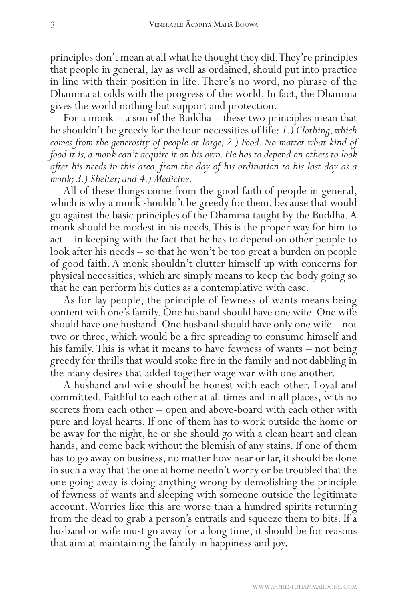principles don't mean at all what he thought they did. They're principles that people in general, lay as well as ordained, should put into practice in line with their position in life. There's no word, no phrase of the Dhamma at odds with the progress of the world. In fact, the Dhamma gives the world nothing but support and protection.

For a monk – a son of the Buddha – these two principles mean that he shouldn't be greedy for the four necessities of life: *1.) Clothing, which comes from the generosity of people at large; 2.) Food. No matter what kind of food it is, a monk can't acquire it on his own. He has to depend on others to look after his needs in this area, from the day of his ordination to his last day as a monk; 3.) Shelter; and 4.) Medicine.*

All of these things come from the good faith of people in general, which is why a monk shouldn't be greedy for them, because that would go against the basic principles of the Dhamma taught by the Buddha. A monk should be modest in his needs. This is the proper way for him to act – in keeping with the fact that he has to depend on other people to look after his needs – so that he won't be too great a burden on people of good faith. A monk shouldn't clutter himself up with concerns for physical necessities, which are simply means to keep the body going so that he can perform his duties as a contemplative with ease.

As for lay people, the principle of fewness of wants means being content with one's family. One husband should have one wife. One wife should have one husband. One husband should have only one wife – not two or three, which would be a fire spreading to consume himself and his family. This is what it means to have fewness of wants – not being greedy for thrills that would stoke fire in the family and not dabbling in the many desires that added together wage war with one another.

A husband and wife should be honest with each other. Loyal and committed. Faithful to each other at all times and in all places, with no secrets from each other – open and above-board with each other with pure and loyal hearts. If one of them has to work outside the home or be away for the night, he or she should go with a clean heart and clean hands, and come back without the blemish of any stains. If one of them has to go away on business, no matter how near or far, it should be done in such a way that the one at home needn't worry or be troubled that the one going away is doing anything wrong by demolishing the principle of fewness of wants and sleeping with someone outside the legitimate account. Worries like this are worse than a hundred spirits returning from the dead to grab a person's entrails and squeeze them to bits. If a husband or wife must go away for a long time, it should be for reasons that aim at maintaining the family in happiness and joy.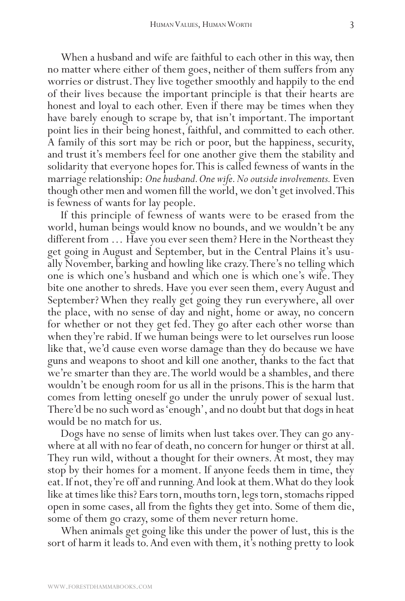When a husband and wife are faithful to each other in this way, then no matter where either of them goes, neither of them suffers from any worries or distrust. They live together smoothly and happily to the end of their lives because the important principle is that their hearts are honest and loyal to each other. Even if there may be times when they have barely enough to scrape by, that isn't important. The important point lies in their being honest, faithful, and committed to each other. A family of this sort may be rich or poor, but the happiness, security, and trust it's members feel for one another give them the stability and solidarity that everyone hopes for. This is called fewness of wants in the marriage relationship: *One husband. One wife. No outside involvements.* Even though other men and women fill the world, we don't get involved. This is fewness of wants for lay people.

If this principle of fewness of wants were to be erased from the world, human beings would know no bounds, and we wouldn't be any different from … Have you ever seen them? Here in the Northeast they get going in August and September, but in the Central Plains it's usually November, barking and howling like crazy. There's no telling which one is which one's husband and which one is which one's wife. They bite one another to shreds. Have you ever seen them, every August and September? When they really get going they run everywhere, all over the place, with no sense of day and night, home or away, no concern for whether or not they get fed. They go after each other worse than when they're rabid. If we human beings were to let ourselves run loose like that, we'd cause even worse damage than they do because we have guns and weapons to shoot and kill one another, thanks to the fact that we're smarter than they are. The world would be a shambles, and there wouldn't be enough room for us all in the prisons. This is the harm that comes from letting oneself go under the unruly power of sexual lust. There'd be no such word as 'enough', and no doubt but that dogs in heat would be no match for us.

Dogs have no sense of limits when lust takes over. They can go anywhere at all with no fear of death, no concern for hunger or thirst at all. They run wild, without a thought for their owners. At most, they may stop by their homes for a moment. If anyone feeds them in time, they eat. If not, they're off and running. And look at them. What do they look like at times like this? Ears torn, mouths torn, legs torn, stomachs ripped open in some cases, all from the fights they get into. Some of them die, some of them go crazy, some of them never return home.

When animals get going like this under the power of lust, this is the sort of harm it leads to. And even with them, it's nothing pretty to look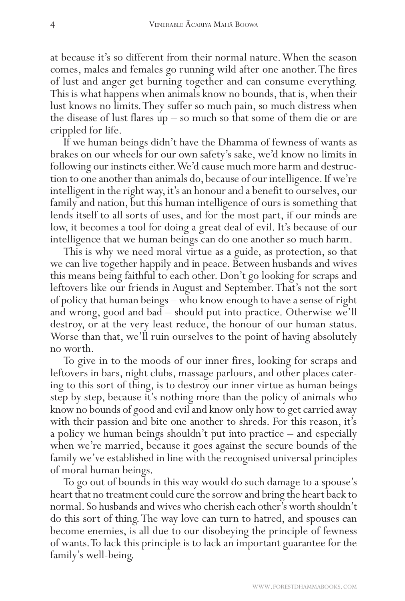at because it's so different from their normal nature. When the season comes, males and females go running wild after one another. The fires of lust and anger get burning together and can consume everything. This is what happens when animals know no bounds, that is, when their lust knows no limits. They suffer so much pain, so much distress when the disease of lust flares up – so much so that some of them die or are crippled for life.

If we human beings didn't have the Dhamma of fewness of wants as brakes on our wheels for our own safety's sake, we'd know no limits in following our instincts either. We'd cause much more harm and destruction to one another than animals do, because of our intelligence. If we're intelligent in the right way, it's an honour and a benefit to ourselves, our family and nation, but this human intelligence of ours is something that lends itself to all sorts of uses, and for the most part, if our minds are low, it becomes a tool for doing a great deal of evil. It's because of our intelligence that we human beings can do one another so much harm.

This is why we need moral virtue as a guide, as protection, so that we can live together happily and in peace. Between husbands and wives this means being faithful to each other. Don't go looking for scraps and leftovers like our friends in August and September. That's not the sort of policy that human beings – who know enough to have a sense of right and wrong, good and bad – should put into practice. Otherwise we'll destroy, or at the very least reduce, the honour of our human status. Worse than that, we'll ruin ourselves to the point of having absolutely no worth.

To give in to the moods of our inner fires, looking for scraps and leftovers in bars, night clubs, massage parlours, and other places catering to this sort of thing, is to destroy our inner virtue as human beings step by step, because it's nothing more than the policy of animals who know no bounds of good and evil and know only how to get carried away with their passion and bite one another to shreds. For this reason, it's a policy we human beings shouldn't put into practice – and especially when we're married, because it goes against the secure bounds of the family we've established in line with the recognised universal principles of moral human beings.

To go out of bounds in this way would do such damage to a spouse's heart that no treatment could cure the sorrow and bring the heart back to normal. So husbands and wives who cherish each other's worth shouldn't do this sort of thing. The way love can turn to hatred, and spouses can become enemies, is all due to our disobeying the principle of fewness of wants. To lack this principle is to lack an important guarantee for the family's well-being.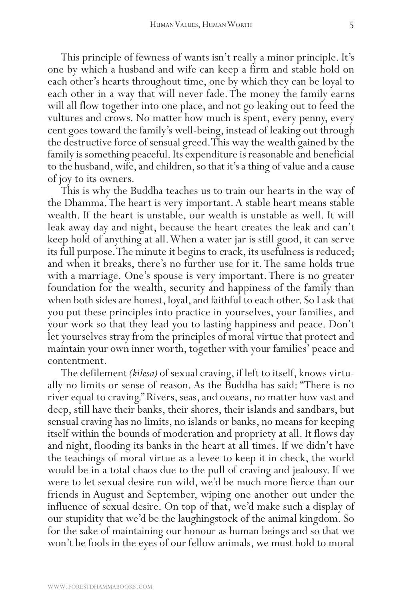This principle of fewness of wants isn't really a minor principle. It's one by which a husband and wife can keep a firm and stable hold on each other's hearts throughout time, one by which they can be loyal to each other in a way that will never fade. The money the family earns will all flow together into one place, and not go leaking out to feed the vultures and crows. No matter how much is spent, every penny, every cent goes toward the family's well-being, instead of leaking out through the destructive force of sensual greed. This way the wealth gained by the family is something peaceful. Its expenditure is reasonable and beneficial to the husband, wife, and children, so that it's a thing of value and a cause of joy to its owners.

This is why the Buddha teaches us to train our hearts in the way of the Dhamma. The heart is very important. A stable heart means stable wealth. If the heart is unstable, our wealth is unstable as well. It will leak away day and night, because the heart creates the leak and can't keep hold of anything at all. When a water jar is still good, it can serve its full purpose. The minute it begins to crack, its usefulness is reduced; and when it breaks, there's no further use for it. The same holds true with a marriage. One's spouse is very important. There is no greater foundation for the wealth, security and happiness of the family than when both sides are honest, loyal, and faithful to each other. So I ask that you put these principles into practice in yourselves, your families, and your work so that they lead you to lasting happiness and peace. Don't let yourselves stray from the principles of moral virtue that protect and maintain your own inner worth, together with your families' peace and contentment.

The defilement *(kilesa)* of sexual craving, if left to itself, knows virtually no limits or sense of reason. As the Buddha has said: "There is no river equal to craving." Rivers, seas, and oceans, no matter how vast and deep, still have their banks, their shores, their islands and sandbars, but sensual craving has no limits, no islands or banks, no means for keeping itself within the bounds of moderation and propriety at all. It flows day and night, flooding its banks in the heart at all times. If we didn't have the teachings of moral virtue as a levee to keep it in check, the world would be in a total chaos due to the pull of craving and jealousy. If we were to let sexual desire run wild, we'd be much more fierce than our friends in August and September, wiping one another out under the influence of sexual desire. On top of that, we'd make such a display of our stupidity that we'd be the laughingstock of the animal kingdom. So for the sake of maintaining our honour as human beings and so that we won't be fools in the eyes of our fellow animals, we must hold to moral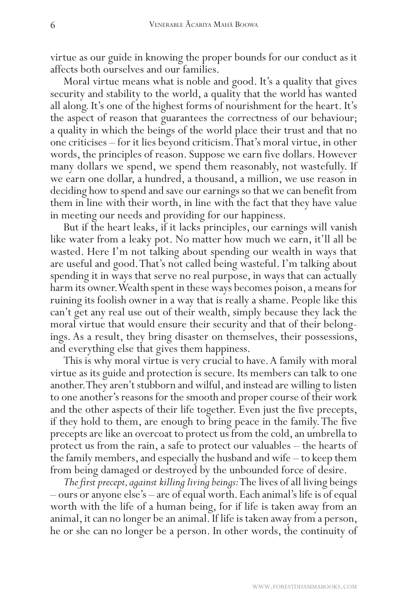virtue as our guide in knowing the proper bounds for our conduct as it affects both ourselves and our families.

Moral virtue means what is noble and good. It's a quality that gives security and stability to the world, a quality that the world has wanted all along. It's one of the highest forms of nourishment for the heart. It's the aspect of reason that guarantees the correctness of our behaviour; a quality in which the beings of the world place their trust and that no one criticises – for it lies beyond criticism. That's moral virtue, in other words, the principles of reason. Suppose we earn five dollars. However many dollars we spend, we spend them reasonably, not wastefully. If we earn one dollar, a hundred, a thousand, a million, we use reason in deciding how to spend and save our earnings so that we can benefit from them in line with their worth, in line with the fact that they have value in meeting our needs and providing for our happiness.

But if the heart leaks, if it lacks principles, our earnings will vanish like water from a leaky pot. No matter how much we earn, it'll all be wasted. Here I'm not talking about spending our wealth in ways that are useful and good. That's not called being wasteful. I'm talking about spending it in ways that serve no real purpose, in ways that can actually harm its owner. Wealth spent in these ways becomes poison, a means for ruining its foolish owner in a way that is really a shame. People like this can't get any real use out of their wealth, simply because they lack the moral virtue that would ensure their security and that of their belongings. As a result, they bring disaster on themselves, their possessions, and everything else that gives them happiness.

This is why moral virtue is very crucial to have. A family with moral virtue as its guide and protection is secure. Its members can talk to one another. They aren't stubborn and wilful, and instead are willing to listen to one another's reasons for the smooth and proper course of their work and the other aspects of their life together. Even just the five precepts, if they hold to them, are enough to bring peace in the family. The five precepts are like an overcoat to protect us from the cold, an umbrella to protect us from the rain, a safe to protect our valuables – the hearts of the family members, and especially the husband and wife – to keep them from being damaged or destroyed by the unbounded force of desire.

*The first precept, against killing living beings:* The lives of all living beings – ours or anyone else's – are of equal worth. Each animal's life is of equal worth with the life of a human being, for if life is taken away from an animal, it can no longer be an animal. If life is taken away from a person, he or she can no longer be a person. In other words, the continuity of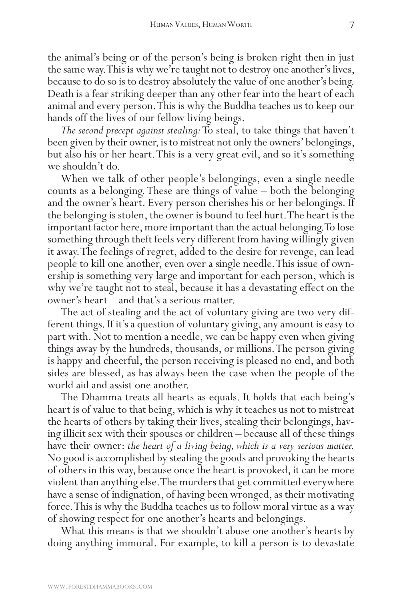the animal's being or of the person's being is broken right then in just the same way. This is why we're taught not to destroy one another's lives, because to do so is to destroy absolutely the value of one another's being. Death is a fear striking deeper than any other fear into the heart of each animal and every person. This is why the Buddha teaches us to keep our hands off the lives of our fellow living beings.

*The second precept against stealing:* To steal, to take things that haven't been given by their owner, is to mistreat not only the owners' belongings, but also his or her heart. This is a very great evil, and so it's something we shouldn't do.

When we talk of other people's belongings, even a single needle counts as a belonging. These are things of value – both the belonging and the owner's heart. Every person cherishes his or her belongings. If the belonging is stolen, the owner is bound to feel hurt. The heart is the important factor here, more important than the actual belonging. To lose something through theft feels very different from having willingly given it away. The feelings of regret, added to the desire for revenge, can lead people to kill one another, even over a single needle. This issue of ownership is something very large and important for each person, which is why we're taught not to steal, because it has a devastating effect on the owner's heart – and that's a serious matter.

The act of stealing and the act of voluntary giving are two very different things. If it's a question of voluntary giving, any amount is easy to part with. Not to mention a needle, we can be happy even when giving things away by the hundreds, thousands, or millions. The person giving is happy and cheerful, the person receiving is pleased no end, and both sides are blessed, as has always been the case when the people of the world aid and assist one another.

The Dhamma treats all hearts as equals. It holds that each being's heart is of value to that being, which is why it teaches us not to mistreat the hearts of others by taking their lives, stealing their belongings, having illicit sex with their spouses or children – because all of these things have their owner: *the heart of a living being, which is a very serious matter.* No good is accomplished by stealing the goods and provoking the hearts of others in this way, because once the heart is provoked, it can be more violent than anything else. The murders that get committed everywhere have a sense of indignation, of having been wronged, as their motivating force. This is why the Buddha teaches us to follow moral virtue as a way of showing respect for one another's hearts and belongings.

What this means is that we shouldn't abuse one another's hearts by doing anything immoral. For example, to kill a person is to devastate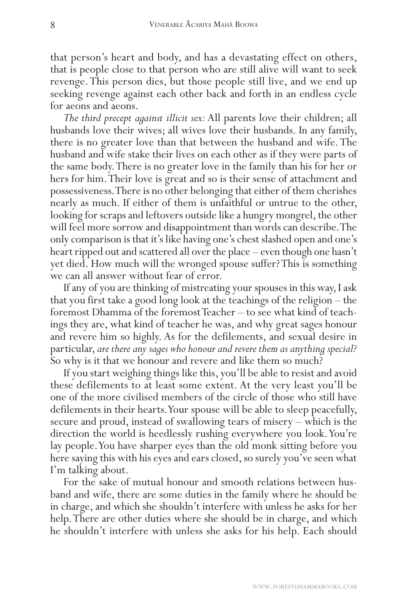that person's heart and body, and has a devastating effect on others, that is people close to that person who are still alive will want to seek revenge. This person dies, but those people still live, and we end up seeking revenge against each other back and forth in an endless cycle for aeons and aeons.

*The third precept against illicit sex:* All parents love their children; all husbands love their wives; all wives love their husbands. In any family, there is no greater love than that between the husband and wife. The husband and wife stake their lives on each other as if they were parts of the same body. There is no greater love in the family than his for her or hers for him. Their love is great and so is their sense of attachment and possessiveness. There is no other belonging that either of them cherishes nearly as much. If either of them is unfaithful or untrue to the other, looking for scraps and leftovers outside like a hungry mongrel, the other will feel more sorrow and disappointment than words can describe. The only comparison is that it's like having one's chest slashed open and one's heart ripped out and scattered all over the place – even though one hasn't yet died. How much will the wronged spouse suffer? This is something we can all answer without fear of error.

If any of you are thinking of mistreating your spouses in this way, I ask that you first take a good long look at the teachings of the religion – the foremost Dhamma of the foremost Teacher – to see what kind of teachings they are, what kind of teacher he was, and why great sages honour and revere him so highly. As for the defilements, and sexual desire in particular, *are there any sages who honour and revere them as anything special?* So why is it that we honour and revere and like them so much?

If you start weighing things like this, you'll be able to resist and avoid these defilements to at least some extent. At the very least you'll be one of the more civilised members of the circle of those who still have defilements in their hearts. Your spouse will be able to sleep peacefully, secure and proud, instead of swallowing tears of misery – which is the direction the world is heedlessly rushing everywhere you look. You're lay people. You have sharper eyes than the old monk sitting before you here saying this with his eyes and ears closed, so surely you've seen what I'm talking about.

For the sake of mutual honour and smooth relations between husband and wife, there are some duties in the family where he should be in charge, and which she shouldn't interfere with unless he asks for her help. There are other duties where she should be in charge, and which he shouldn't interfere with unless she asks for his help. Each should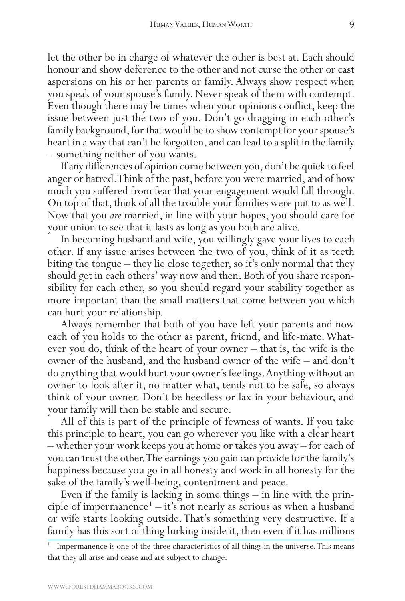let the other be in charge of whatever the other is best at. Each should honour and show deference to the other and not curse the other or cast aspersions on his or her parents or family. Always show respect when you speak of your spouse's family. Never speak of them with contempt. Even though there may be times when your opinions conflict, keep the issue between just the two of you. Don't go dragging in each other's family background, for that would be to show contempt for your spouse's heart in a way that can't be forgotten, and can lead to a split in the family – something neither of you wants.

If any differences of opinion come between you, don't be quick to feel anger or hatred. Think of the past, before you were married, and of how much you suffered from fear that your engagement would fall through. On top of that, think of all the trouble your families were put to as well. Now that you *are* married, in line with your hopes, you should care for your union to see that it lasts as long as you both are alive.

In becoming husband and wife, you willingly gave your lives to each other. If any issue arises between the two of you, think of it as teeth biting the tongue – they lie close together, so it's only normal that they should get in each others' way now and then. Both of you share responsibility for each other, so you should regard your stability together as more important than the small matters that come between you which can hurt your relationship.

Always remember that both of you have left your parents and now each of you holds to the other as parent, friend, and life-mate. Whatever you do, think of the heart of your owner – that is, the wife is the owner of the husband, and the husband owner of the wife – and don't do anything that would hurt your owner's feelings. Anything without an owner to look after it, no matter what, tends not to be safe, so always think of your owner. Don't be heedless or lax in your behaviour, and your family will then be stable and secure.

All of this is part of the principle of fewness of wants. If you take this principle to heart, you can go wherever you like with a clear heart – whether your work keeps you at home or takes you away – for each of you can trust the other. The earnings you gain can provide for the family's happiness because you go in all honesty and work in all honesty for the sake of the family's well-being, contentment and peace.

Even if the family is lacking in some things – in line with the principle of impermanence<sup>1</sup>  $-$  it's not nearly as serious as when a husband or wife starts looking outside. That's something very destructive. If a family has this sort of thing lurking inside it, then even if it has millions

<sup>&</sup>lt;sup>1</sup> Impermanence is one of the three characteristics of all things in the universe. This means that they all arise and cease and are subject to change.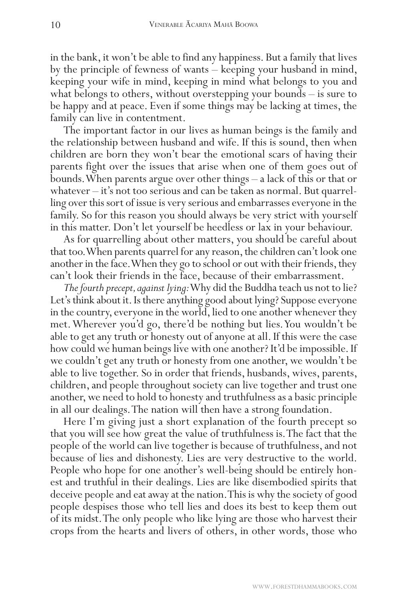in the bank, it won't be able to find any happiness. But a family that lives by the principle of fewness of wants – keeping your husband in mind, keeping your wife in mind, keeping in mind what belongs to you and what belongs to others, without overstepping your bounds – is sure to be happy and at peace. Even if some things may be lacking at times, the family can live in contentment.

The important factor in our lives as human beings is the family and the relationship between husband and wife. If this is sound, then when children are born they won't bear the emotional scars of having their parents fight over the issues that arise when one of them goes out of bounds. When parents argue over other things – a lack of this or that or whatever – it's not too serious and can be taken as normal. But quarrelling over this sort of issue is very serious and embarrasses everyone in the family. So for this reason you should always be very strict with yourself in this matter. Don't let yourself be heedless or lax in your behaviour.

As for quarrelling about other matters, you should be careful about that too. When parents quarrel for any reason, the children can't look one another in the face. When they go to school or out with their friends, they can't look their friends in the face, because of their embarrassment.

*The fourth precept, against lying:* Why did the Buddha teach us not to lie? Let's think about it. Is there anything good about lying? Suppose everyone in the country, everyone in the world, lied to one another whenever they met. Wherever you'd go, there'd be nothing but lies. You wouldn't be able to get any truth or honesty out of anyone at all. If this were the case how could we human beings live with one another? It'd be impossible. If we couldn't get any truth or honesty from one another, we wouldn't be able to live together. So in order that friends, husbands, wives, parents, children, and people throughout society can live together and trust one another, we need to hold to honesty and truthfulness as a basic principle in all our dealings. The nation will then have a strong foundation.

Here I'm giving just a short explanation of the fourth precept so that you will see how great the value of truthfulness is. The fact that the people of the world can live together is because of truthfulness, and not because of lies and dishonesty. Lies are very destructive to the world. People who hope for one another's well-being should be entirely honest and truthful in their dealings. Lies are like disembodied spirits that deceive people and eat away at the nation. This is why the society of good people despises those who tell lies and does its best to keep them out of its midst. The only people who like lying are those who harvest their crops from the hearts and livers of others, in other words, those who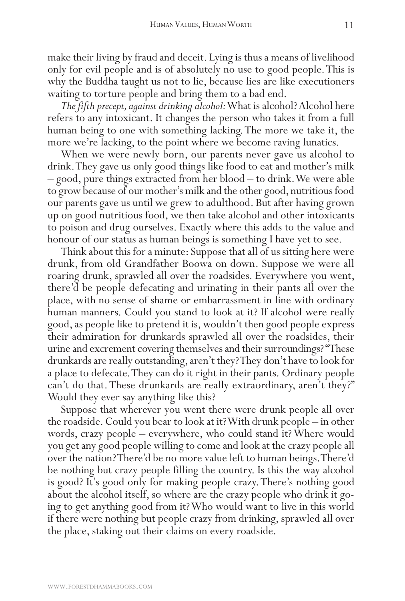make their living by fraud and deceit. Lying is thus a means of livelihood only for evil people and is of absolutely no use to good people. This is why the Buddha taught us not to lie, because lies are like executioners waiting to torture people and bring them to a bad end.

*The fifth precept, against drinking alcohol:* What is alcohol? Alcohol here refers to any intoxicant. It changes the person who takes it from a full human being to one with something lacking. The more we take it, the more we're lacking, to the point where we become raving lunatics.

When we were newly born, our parents never gave us alcohol to drink. They gave us only good things like food to eat and mother's milk – good, pure things extracted from her blood – to drink. We were able to grow because of our mother's milk and the other good, nutritious food our parents gave us until we grew to adulthood. But after having grown up on good nutritious food, we then take alcohol and other intoxicants to poison and drug ourselves. Exactly where this adds to the value and honour of our status as human beings is something I have yet to see.

Think about this for a minute: Suppose that all of us sitting here were drunk, from old Grandfather Boowa on down. Suppose we were all roaring drunk, sprawled all over the roadsides. Everywhere you went, there'd be people defecating and urinating in their pants all over the place, with no sense of shame or embarrassment in line with ordinary human manners. Could you stand to look at it? If alcohol were really good, as people like to pretend it is, wouldn't then good people express their admiration for drunkards sprawled all over the roadsides, their urine and excrement covering themselves and their surroundings? "These drunkards are really outstanding, aren't they? They don't have to look for a place to defecate. They can do it right in their pants. Ordinary people can't do that. These drunkards are really extraordinary, aren't they?" Would they ever say anything like this?

Suppose that wherever you went there were drunk people all over the roadside. Could you bear to look at it? With drunk people – in other words, crazy people – everywhere, who could stand it? Where would you get any good people willing to come and look at the crazy people all over the nation? There'd be no more value left to human beings. There'd be nothing but crazy people filling the country. Is this the way alcohol is good? It's good only for making people crazy. There's nothing good about the alcohol itself, so where are the crazy people who drink it going to get anything good from it? Who would want to live in this world if there were nothing but people crazy from drinking, sprawled all over the place, staking out their claims on every roadside.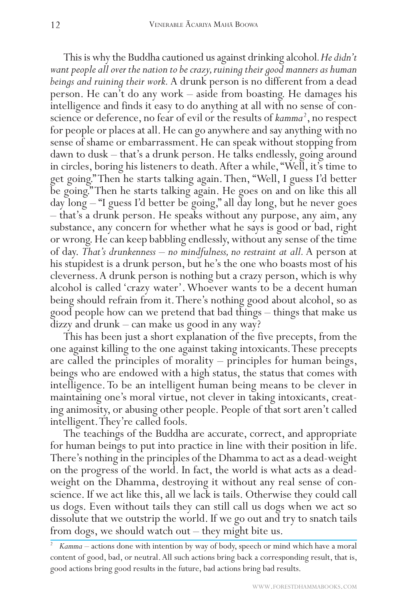This is why the Buddha cautioned us against drinking alcohol*. He didn't want people all over the nation to be crazy, ruining their good manners as human beings and ruining their work.* A drunk person is no different from a dead person. He can't do any work – aside from boasting. He damages his intelligence and finds it easy to do anything at all with no sense of conscience or deference, no fear of evil or the results of kamma<sup>2</sup>, no respect for people or places at all. He can go anywhere and say anything with no sense of shame or embarrassment. He can speak without stopping from dawn to dusk – that's a drunk person. He talks endlessly, going around in circles, boring his listeners to death. After a while, "Well, it's time to get going." Then he starts talking again. Then, "Well, I guess I'd better be going." Then he starts talking again. He goes on and on like this all day long – "I guess I'd better be going," all day long, but he never goes – that's a drunk person. He speaks without any purpose, any aim, any substance, any concern for whether what he says is good or bad, right or wrong. He can keep babbling endlessly, without any sense of the time of day. *That's drunkenness – no mindfulness, no restraint at all.* A person at his stupidest is a drunk person, but he's the one who boasts most of his cleverness. A drunk person is nothing but a crazy person, which is why alcohol is called 'crazy water'. Whoever wants to be a decent human being should refrain from it. There's nothing good about alcohol, so as good people how can we pretend that bad things – things that make us dizzy and drunk – can make us good in any way?

This has been just a short explanation of the five precepts, from the one against killing to the one against taking intoxicants. These precepts are called the principles of morality – principles for human beings, beings who are endowed with a high status, the status that comes with intelligence. To be an intelligent human being means to be clever in maintaining one's moral virtue, not clever in taking intoxicants, creat- ing animosity, or abusing other people. People of that sort aren't called intelligent. They're called fools.

The teachings of the Buddha are accurate, correct, and appropriate for human beings to put into practice in line with their position in life. There's nothing in the principles of the Dhamma to act as a dead-weight on the progress of the world. In fact, the world is what acts as a deadweight on the Dhamma, destroying it without any real sense of conscience. If we act like this, all we lack is tails. Otherwise they could call us dogs. Even without tails they can still call us dogs when we act so dissolute that we outstrip the world. If we go out and try to snatch tails from dogs, we should watch out – they might bite us.

<sup>&</sup>lt;sup>2</sup> *Kamma* – actions done with intention by way of body, speech or mind which have a moral content of good, bad, or neutral. All such actions bring back a corresponding result, that is, good actions bring good results in the future, bad actions bring bad results.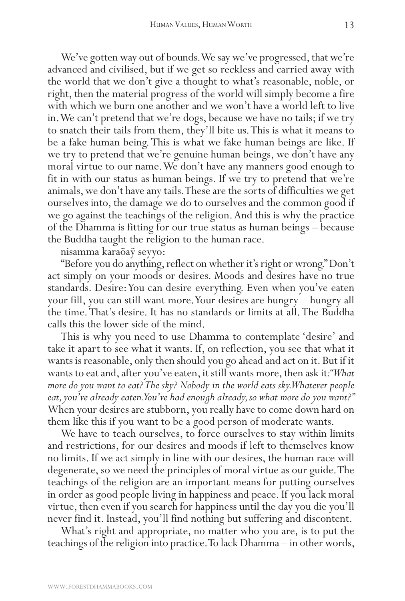We've gotten way out of bounds. We say we've progressed, that we're advanced and civilised, but if we get so reckless and carried away with the world that we don't give a thought to what's reasonable, noble, or right, then the material progress of the world will simply become a fire with which we burn one another and we won't have a world left to live in. We can't pretend that we're dogs, because we have no tails; if we try to snatch their tails from them, they'll bite us. This is what it means to be a fake human being. This is what we fake human beings are like. If we try to pretend that we're genuine human beings, we don't have any moral virtue to our name. We don't have any manners good enough to fit in with our status as human beings. If we try to pretend that we're animals, we don't have any tails. These are the sorts of difficulties we get ourselves into, the damage we do to ourselves and the common good if we go against the teachings of the religion. And this is why the practice of the Dhamma is fitting for our true status as human beings – because the Buddha taught the religion to the human race.

nisamma karaõaÿ seyyo:

"Before you do anything, reflect on whether it's right or wrong." Don't act simply on your moods or desires. Moods and desires have no true standards. Desire: You can desire everything. Even when you've eaten your fill, you can still want more. Your desires are hungry – hungry all the time. That's desire. It has no standards or limits at all. The Buddha calls this the lower side of the mind.

This is why you need to use Dhamma to contemplate 'desire' and take it apart to see what it wants. If, on reflection, you see that what it wants is reasonable, only then should you go ahead and act on it. But if it wants to eat and, after you've eaten, it still wants more, then ask it*: "What more do you want to eat? The sky? Nobody in the world eats sky. Whatever people eat, you've already eaten. You've had enough already, so what more do you want?"* When your desires are stubborn, you really have to come down hard on them like this if you want to be a good person of moderate wants.

We have to teach ourselves, to force ourselves to stay within limits and restrictions, for our desires and moods if left to themselves know no limits. If we act simply in line with our desires, the human race will degenerate, so we need the principles of moral virtue as our guide. The teachings of the religion are an important means for putting ourselves in order as good people living in happiness and peace. If you lack moral virtue, then even if you search for happiness until the day you die you'll never find it. Instead, you'll find nothing but suffering and discontent.

What's right and appropriate, no matter who you are, is to put the teachings of the religion into practice. To lack Dhamma – in other words,